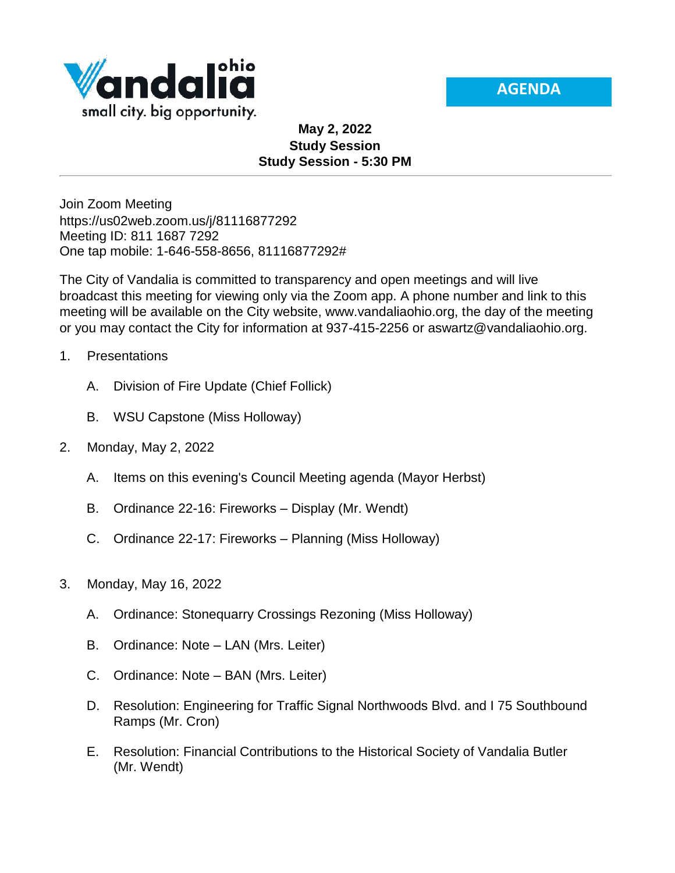



## **May 2, 2022 Study Session Study Session - 5:30 PM**

Join Zoom Meeting https://us02web.zoom.us/j/81116877292 Meeting ID: 811 1687 7292 One tap mobile: 1-646-558-8656, 81116877292#

The City of Vandalia is committed to transparency and open meetings and will live broadcast this meeting for viewing only via the Zoom app. A phone number and link to this meeting will be available on the City website, www.vandaliaohio.org, the day of the meeting or you may contact the City for information at 937-415-2256 or aswartz@vandaliaohio.org.

- 1. Presentations
	- A. Division of Fire Update (Chief Follick)
	- B. WSU Capstone (Miss Holloway)
- 2. Monday, May 2, 2022
	- A. Items on this evening's Council Meeting agenda (Mayor Herbst)
	- B. Ordinance 22-16: Fireworks Display (Mr. Wendt)
	- C. Ordinance 22-17: Fireworks Planning (Miss Holloway)
- 3. Monday, May 16, 2022
	- A. Ordinance: Stonequarry Crossings Rezoning (Miss Holloway)
	- B. Ordinance: Note LAN (Mrs. Leiter)
	- C. Ordinance: Note BAN (Mrs. Leiter)
	- D. Resolution: Engineering for Traffic Signal Northwoods Blvd. and I 75 Southbound Ramps (Mr. Cron)
	- E. Resolution: Financial Contributions to the Historical Society of Vandalia Butler (Mr. Wendt)